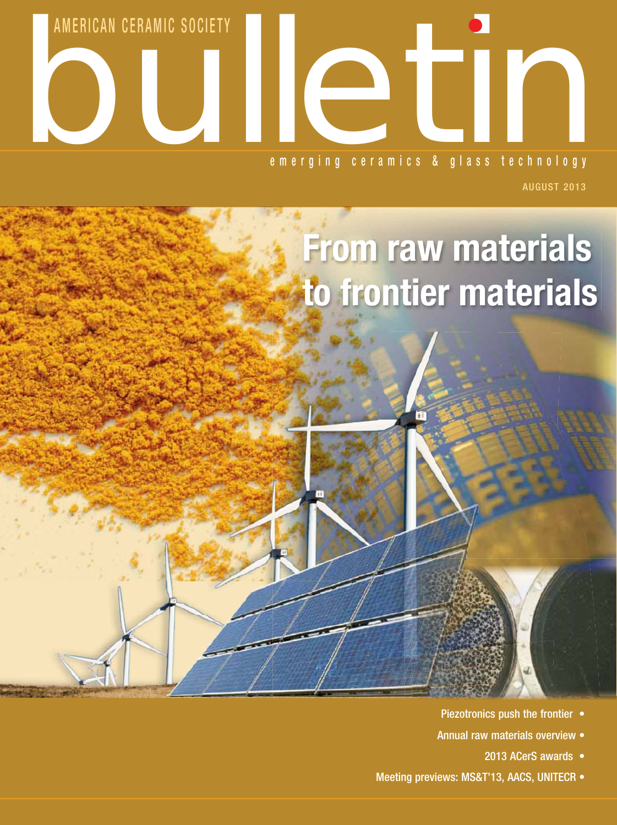

August 2013

# **From raw materials to frontier materials**

- Piezotronics push the frontier •
- Annual raw materials overview
	- 2013 ACerS awards •
- Meeting previews: MS&T'13, AACS, UNITECR •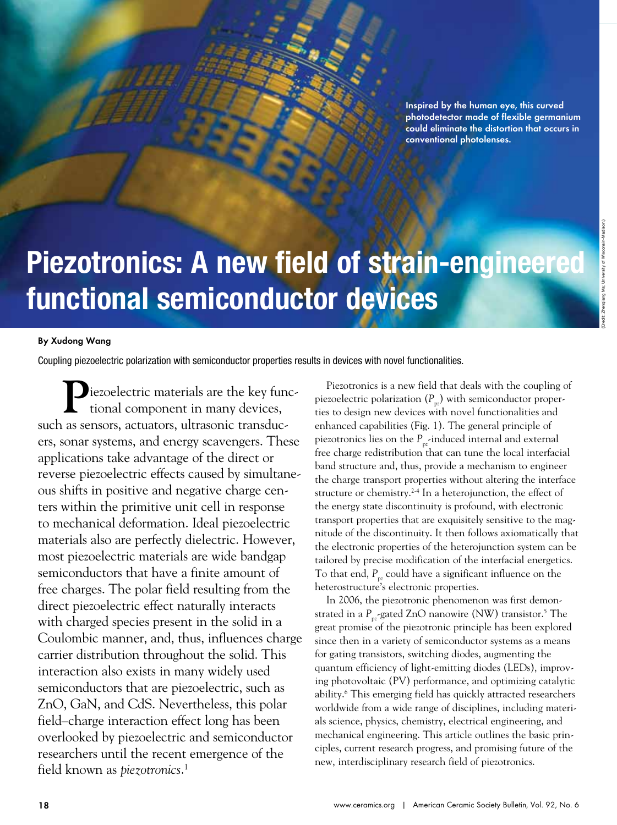Inspired by the human eye, this curved photodetector made of flexible germanium could eliminate the distortion that occurs in conventional photolenses.

# **Piezotronics: A new field of strain-engineered functional semiconductor devices**

Piezotronics: A new field of strain-engineered functional semiconductor devices

#### By Xudong Wang

Coupling piezoelectric polarization with semiconductor properties results in devices with novel functionalities.

**P**iezoelectric materials are the key func-tional component in many devices, such as sensors, actuators, ultrasonic transducers, sonar systems, and energy scavengers. These applications take advantage of the direct or reverse piezoelectric effects caused by simultaneous shifts in positive and negative charge centers within the primitive unit cell in response to mechanical deformation. Ideal piezoelectric materials also are perfectly dielectric. However, most piezoelectric materials are wide bandgap semiconductors that have a finite amount of free charges. The polar field resulting from the direct piezoelectric effect naturally interacts with charged species present in the solid in a Coulombic manner, and, thus, influences charge carrier distribution throughout the solid. This interaction also exists in many widely used semiconductors that are piezoelectric, such as ZnO, GaN, and CdS. Nevertheless, this polar field–charge interaction effect long has been overlooked by piezoelectric and semiconductor researchers until the recent emergence of the field known as *piezotronics*. 1

Piezotronics is a new field that deals with the coupling of piezoelectric polarization  $(P_{pz})$  with semiconductor properties to design new devices with novel functionalities and enhanced capabilities (Fig. 1). The general principle of piezotronics lies on the  $P_{\text{pr}}$ -induced internal and external free charge redistribution that can tune the local interfacial band structure and, thus, provide a mechanism to engineer the charge transport properties without altering the interface structure or chemistry.<sup>2-4</sup> In a heterojunction, the effect of the energy state discontinuity is profound, with electronic transport properties that are exquisitely sensitive to the magnitude of the discontinuity. It then follows axiomatically that the electronic properties of the heterojunction system can be tailored by precise modification of the interfacial energetics. To that end,  $P_{\text{px}}$  could have a significant influence on the heterostructure's electronic properties.

In 2006, the piezotronic phenomenon was first demonstrated in a P<sub>pz</sub>-gated ZnO nanowire (NW) transistor.<sup>5</sup> The great promise of the piezotronic principle has been explored since then in a variety of semiconductor systems as a means for gating transistors, switching diodes, augmenting the quantum efficiency of light-emitting diodes (LEDs), improving photovoltaic (PV) performance, and optimizing catalytic ability.6 This emerging field has quickly attracted researchers worldwide from a wide range of disciplines, including materials science, physics, chemistry, electrical engineering, and mechanical engineering. This article outlines the basic principles, current research progress, and promising future of the new, interdisciplinary research field of piezotronics.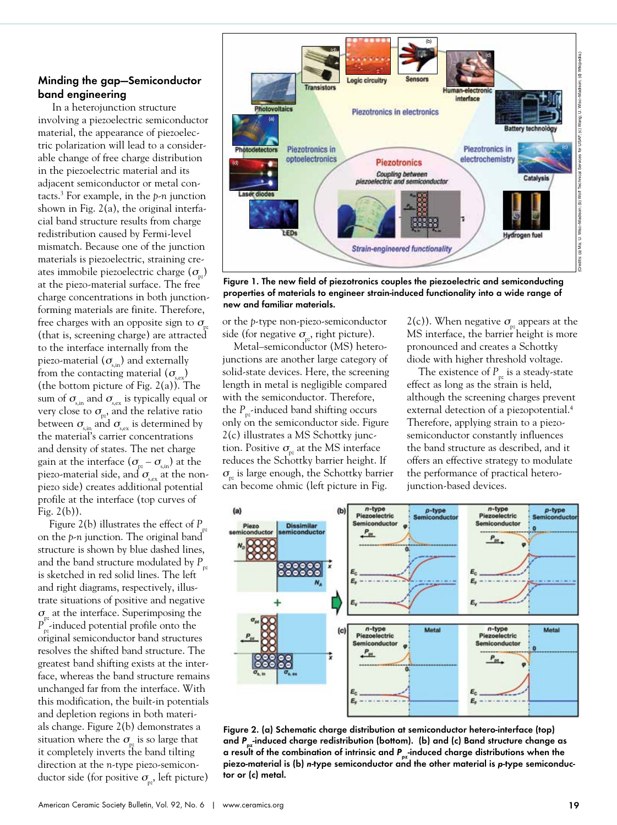#### Minding the gap—Semiconductor band engineering

 In a heterojunction structure involving a piezoelectric semiconductor material, the appearance of piezoelectric polarization will lead to a considerable change of free charge distribution in the piezoelectric material and its adjacent semiconductor or metal contacts.3 For example, in the *p-n* junction shown in Fig. 2(a), the original interfacial band structure results from charge redistribution caused by Fermi-level mismatch. Because one of the junction materials is piezoelectric, straining creates immobile piezoelectric charge  $(\sigma)$ at the piezo-material surface. The free charge concentrations in both junctionforming materials are finite. Therefore, free charges with an opposite sign to  $\sigma$ (that is, screening charge) are attracted to the interface internally from the piezo-material  $(\sigma_{\text{sin}})$  and externally from the contacting material  $(\sigma_{\text{sc}})$ (the bottom picture of Fig.  $2(a)$ ). The sum of  $\sigma_{s, \text{in}}$  and  $\sigma_{s, \text{ex}}$  is typically equal or very close to  $\sigma_{pz}$ , and the relative ratio between  $\sigma_{\rm s, in}$  and  $\sigma_{\rm s, ex}$  is determined by the material's carrier concentrations and density of states. The net charge gain at the interface  $(\sigma_{pz} - \sigma_{s,in})$  at the piezo-material side, and  $\sigma_{\hbox{\tiny s,ex}}$  at the nonpiezo side) creates additional potential profile at the interface (top curves of Fig. 2(b)).

Figure 2(b) illustrates the effect of  $P_p$ on the *p-n* junction. The original band structure is shown by blue dashed lines, and the band structure modulated by  $P_{\text{p}z}$ is sketched in red solid lines. The left and right diagrams, respectively, illustrate situations of positive and negative  $\sigma_{\rm w}$  at the interface. Superimposing the *P*<sub>z</sub>-induced potential profile onto the original semiconductor band structures resolves the shifted band structure. The greatest band shifting exists at the interface, whereas the band structure remains unchanged far from the interface. With this modification, the built-in potentials and depletion regions in both materials change. Figure 2(b) demonstrates a situation where the  $\sigma$  is so large that it completely inverts the band tilting direction at the *n*-type piezo-semiconductor side (for positive  $\sigma_{p}$ , left picture)



Figure 1. The new field of piezotronics couples the piezoelectric and semiconducting properties of materials to engineer strain-induced functionality into a wide range of new and familiar materials.

or the *p*-type non-piezo-semiconductor side (for negative  $\sigma_{p_2}$ , right picture).

Metal–semiconductor (MS) heterojunctions are another large category of solid-state devices. Here, the screening length in metal is negligible compared with the semiconductor. Therefore, the  $P_{\alpha}$ -induced band shifting occurs only on the semiconductor side. Figure 2(c) illustrates a MS Schottky junction. Positive  $\sigma_{\text{p}z}$  at the MS interface reduces the Schottky barrier height. If  $\sigma_{\rm m}$  is large enough, the Schottky barrier can become ohmic (left picture in Fig.

 $2(c)$ ). When negative  $\sigma_{\alpha}$  appears at the MS interface, the barrier height is more pronounced and creates a Schottky diode with higher threshold voltage.

The existence of  $P_{pz}$  is a steady-state effect as long as the strain is held, although the screening charges prevent external detection of a piezopotential.<sup>4</sup> Therefore, applying strain to a piezosemiconductor constantly influences the band structure as described, and it offers an effective strategy to modulate the performance of practical heterojunction-based devices.



Figure 2. (a) Schematic charge distribution at semiconductor hetero-interface (top) and P<sub>nz</sub>-induced charge redistribution (bottom). (b) and (c) Band structure change as a result of the combination of intrinsic and P<sub>pz</sub>-induced charge distributions when the piezo-material is (b) *n*-type semiconductor and the other material is *p*-type semiconductor or (c) metal.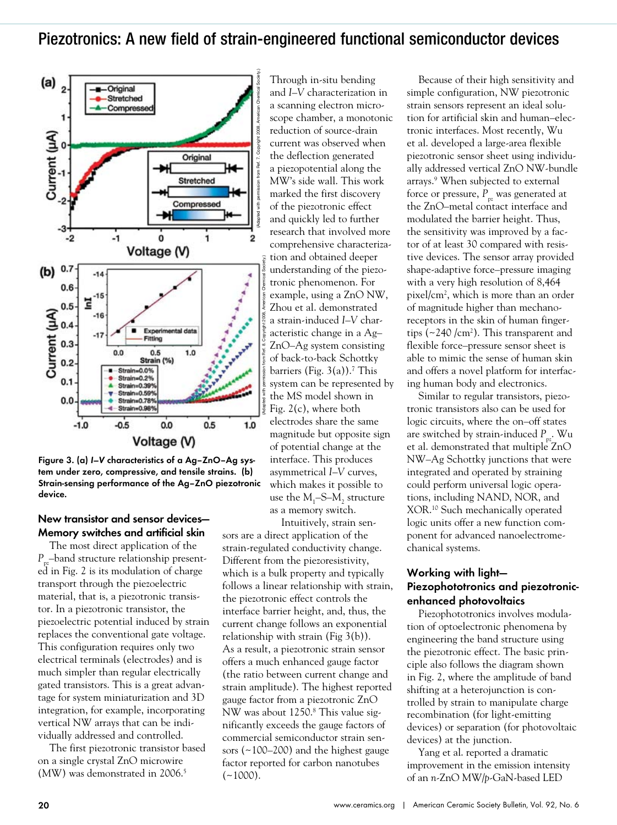### Piezotronics: A new field of strain-engineered functional semiconductor devices



Figure 3. (a) *I–V* characteristics of a Ag–ZnO–Ag system under zero, compressive, and tensile strains. (b) Strain-sensing performance of the Ag–ZnO piezotronic device.

#### New transistor and sensor devices— Memory switches and artificial skin

The most direct application of the *P*<sub>z</sub>–band structure relationship presented in Fig. 2 is its modulation of charge transport through the piezoelectric material, that is, a piezotronic transistor. In a piezotronic transistor, the piezoelectric potential induced by strain replaces the conventional gate voltage. This configuration requires only two electrical terminals (electrodes) and is much simpler than regular electrically gated transistors. This is a great advantage for system miniaturization and 3D integration, for example, incorporating vertical NW arrays that can be individually addressed and controlled.

The first piezotronic transistor based on a single crystal ZnO microwire (MW) was demonstrated in 2006.<sup>5</sup>

Through in-situ bending and *I–V* characterization in a scanning electron microscope chamber, a monotonic reduction of source-drain current was observed when the deflection generated a piezopotential along the MW's side wall. This work marked the first discovery of the piezotronic effect and quickly led to further research that involved more comprehensive characterization and obtained deeper understanding of the piezotronic phenomenon. For example, using a ZnO NW, Zhou et al. demonstrated a strain-induced *I–V* characteristic change in a Ag– ZnO–Ag system consisting of back-to-back Schottky barriers (Fig.  $3(a)$ ).<sup>7</sup> This system can be represented by the MS model shown in Fig. 2(c), where both electrodes share the same magnitude but opposite sign of potential change at the interface. This produces asymmetrical *I–V* curves, which makes it possible to use the  $M_1$ –S– $M_2$  structure as a memory switch.

Intuitively, strain sensors are a direct application of the strain-regulated conductivity change. Different from the piezoresistivity, which is a bulk property and typically follows a linear relationship with strain, the piezotronic effect controls the interface barrier height, and, thus, the current change follows an exponential relationship with strain (Fig 3(b)). As a result, a piezotronic strain sensor offers a much enhanced gauge factor (the ratio between current change and strain amplitude). The highest reported gauge factor from a piezotronic ZnO NW was about 1250.<sup>8</sup> This value significantly exceeds the gauge factors of commercial semiconductor strain sensors (~100–200) and the highest gauge factor reported for carbon nanotubes  $(-1000)$ .

Because of their high sensitivity and simple configuration, NW piezotronic strain sensors represent an ideal solution for artificial skin and human–electronic interfaces. Most recently, Wu et al. developed a large-area flexible piezotronic sensor sheet using individually addressed vertical ZnO NW-bundle arrays.<sup>9</sup> When subjected to external force or pressure,  $P_{pz}$  was generated at the ZnO–metal contact interface and modulated the barrier height. Thus, the sensitivity was improved by a factor of at least 30 compared with resistive devices. The sensor array provided shape-adaptive force–pressure imaging with a very high resolution of 8,464 pixel/cm2 , which is more than an order of magnitude higher than mechanoreceptors in the skin of human fingertips  $(\sim 240 \, \text{/cm}^2)$ . This transparent and flexible force–pressure sensor sheet is able to mimic the sense of human skin and offers a novel platform for interfacing human body and electronics.

Similar to regular transistors, piezotronic transistors also can be used for logic circuits, where the on–off states are switched by strain-induced P<sub>pz</sub>. Wu et al. demonstrated that multiple ZnO NW–Ag Schottky junctions that were integrated and operated by straining could perform universal logic operations, including NAND, NOR, and XOR.10 Such mechanically operated logic units offer a new function component for advanced nanoelectromechanical systems.

#### Working with light— Piezophototronics and piezotronicenhanced photovoltaics

Piezophototronics involves modulation of optoelectronic phenomena by engineering the band structure using the piezotronic effect. The basic principle also follows the diagram shown in Fig. 2, where the amplitude of band shifting at a heterojunction is controlled by strain to manipulate charge recombination (for light-emitting devices) or separation (for photovoltaic devices) at the junction.

Yang et al. reported a dramatic improvement in the emission intensity of an *n*-ZnO MW/*p*-GaN-based LED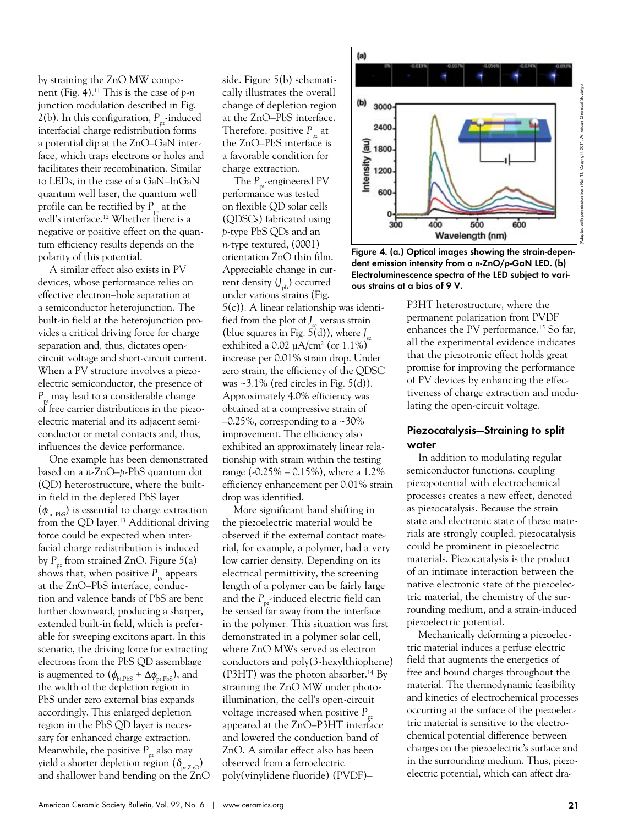by straining the ZnO MW component (Fig. 4).11 This is the case of *p-n* junction modulation described in Fig. 2(b). In this configuration,  $P_{p}$ -induced interfacial charge redistribution forms a potential dip at the ZnO–GaN interface, which traps electrons or holes and facilitates their recombination. Similar to LEDs, in the case of a GaN–InGaN quantum well laser, the quantum well profile can be rectified by  $P_{\mu}$  at the well's interface.<sup>12</sup> Whether there is a negative or positive effect on the quantum efficiency results depends on the polarity of this potential.

A similar effect also exists in PV devices, whose performance relies on effective electron–hole separation at a semiconductor heterojunction. The built-in field at the heterojunction provides a critical driving force for charge separation and, thus, dictates opencircuit voltage and short-circuit current. When a PV structure involves a piezoelectric semiconductor, the presence of *P*<sub>nz</sub> may lead to a considerable change of free carrier distributions in the piezoelectric material and its adjacent semiconductor or metal contacts and, thus, influences the device performance.

One example has been demonstrated based on a *n*-ZnO–*p*-PbS quantum dot (QD) heterostructure, where the builtin field in the depleted PbS layer  $(\phi_{\scriptscriptstyle\rm bi,\,PbS})$  is essential to charge extraction from the QD layer.<sup>13</sup> Additional driving force could be expected when interfacial charge redistribution is induced by  $P_{p_2}$  from strained ZnO. Figure 5(a) shows that, when positive  $P_{p_z}$  appears at the ZnO–PbS interface, conduction and valence bands of PbS are bent further downward, producing a sharper, extended built-in field, which is preferable for sweeping excitons apart. In this scenario, the driving force for extracting electrons from the PbS QD assemblage is augmented to  $(\phi_{\text{bi,PbS}} + \Delta\phi_{\text{pc,PbS}})$ , and the width of the depletion region in PbS under zero external bias expands accordingly. This enlarged depletion region in the PbS QD layer is necessary for enhanced charge extraction. Meanwhile, the positive  $P_{pz}$  also may yield a shorter depletion region  $(\delta_{p_z z_nO})$ and shallower band bending on the ZnO

side. Figure 5(b) schematically illustrates the overall change of depletion region at the ZnO–PbS interface. Therefore, positive  $P_{p_2}$  at the ZnO–PbS interface is a favorable condition for charge extraction.

The P<sub>pz</sub>-engineered PV performance was tested on flexible QD solar cells (QDSCs) fabricated using *p*-type PbS QDs and an *n*-type textured, (0001) orientation ZnO thin film. Appreciable change in current density  $(J_{\text{ph}})$  occurred under various strains (Fig.

5(c)). A linear relationship was identified from the plot of *J*<sub>sc</sub> versus strain (blue squares in Fig.  $5(d)$ ), where  $J_{sc}$ exhibited a  $0.02 \mu A/cm^2$  (or  $1.1\%$ ) increase per 0.01% strain drop. Under zero strain, the efficiency of the QDSC was  $\sim$ 3.1% (red circles in Fig. 5(d)). Approximately 4.0% efficiency was obtained at a compressive strain of  $-0.25\%$ , corresponding to a  $\sim$ 30% improvement. The efficiency also exhibited an approximately linear relationship with strain within the testing range (-0.25% – 0.15%), where a 1.2% efficiency enhancement per 0.01% strain drop was identified.

More significant band shifting in the piezoelectric material would be observed if the external contact material, for example, a polymer, had a very low carrier density. Depending on its electrical permittivity, the screening length of a polymer can be fairly large and the  $P_{\text{pr}}$ -induced electric field can be sensed far away from the interface in the polymer. This situation was first demonstrated in a polymer solar cell, where ZnO MWs served as electron conductors and poly(3-hexylthiophene) (P3HT) was the photon absorber.<sup>14</sup> By straining the ZnO MW under photoillumination, the cell's open-circuit voltage increased when positive *P*<sub>zz</sub> appeared at the ZnO–P3HT interface and lowered the conduction band of ZnO. A similar effect also has been observed from a ferroelectric poly(vinylidene fluoride) (PVDF)–



(Adapted with permission from Ref 11. Copyright 2011, American Chemical Society.)

Figure 4. (a.) Optical images showing the strain-dependent emission intensity from a *n*-ZnO/*p*-GaN LED. (b) Electroluminescence spectra of the LED subject to various strains at a bias of 9 V.

P3HT heterostructure, where the permanent polarization from PVDF enhances the PV performance.<sup>15</sup> So far, all the experimental evidence indicates that the piezotronic effect holds great promise for improving the performance of PV devices by enhancing the effectiveness of charge extraction and modulating the open-circuit voltage.

#### Piezocatalysis—Straining to split water

In addition to modulating regular semiconductor functions, coupling piezopotential with electrochemical processes creates a new effect, denoted as piezocatalysis. Because the strain state and electronic state of these materials are strongly coupled, piezocatalysis could be prominent in piezoelectric materials. Piezocatalysis is the product of an intimate interaction between the native electronic state of the piezoelectric material, the chemistry of the surrounding medium, and a strain-induced piezoelectric potential.

Mechanically deforming a piezoelectric material induces a perfuse electric field that augments the energetics of free and bound charges throughout the material. The thermodynamic feasibility and kinetics of electrochemical processes occurring at the surface of the piezoelectric material is sensitive to the electrochemical potential difference between charges on the piezoelectric's surface and in the surrounding medium. Thus, piezoelectric potential, which can affect dra-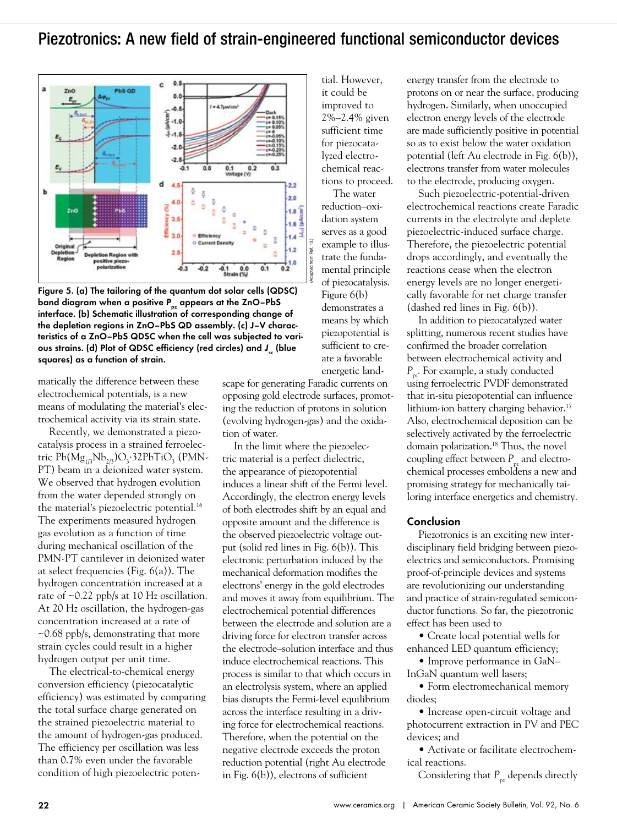## Piezotronics: A new field of strain-engineered functional semiconductor devices



Figure 5. (a) The tailoring of the quantum dot solar cells (QDSC) band diagram when a positive P<sub>pz</sub> appears at the ZnO–PbS interface. (b) Schematic illustration of corresponding change of the depletion regions in ZnO–PbS QD assembly. (c) J–V characteristics of a ZnO–PbS QDSC when the cell was subjected to various strains. (d) Plot of QDSC efficiency (red circles) and J<sub>sc</sub> (blue squares) as a function of strain.

matically the difference between these electrochemical potentials, is a new means of modulating the material's electrochemical activity via its strain state.

Recently, we demonstrated a piezocatalysis process in a strained ferroelectric Pb(Mg<sub>1/3</sub>Nb<sub>2/3</sub>)O<sub>3</sub>·32PbTiO<sub>3</sub> (PMN-PT) beam in a deionized water system. We observed that hydrogen evolution from the water depended strongly on the material's piezoelectric potential.16 The experiments measured hydrogen gas evolution as a function of time during mechanical oscillation of the PMN-PT cantilever in deionized water at select frequencies (Fig. 6(a)). The hydrogen concentration increased at a rate of ~0.22 ppb/s at 10 Hz oscillation. At 20 Hz oscillation, the hydrogen-gas concentration increased at a rate of ~0.68 ppb/s, demonstrating that more strain cycles could result in a higher hydrogen output per unit time.

The electrical-to-chemical energy conversion efficiency (piezocatalytic efficiency) was estimated by comparing the total surface charge generated on the strained piezoelectric material to the amount of hydrogen-gas produced. The efficiency per oscillation was less than 0.7% even under the favorable condition of high piezoelectric potential. However, it could be improved to 2%–2.4% given sufficient time for piezocatalyzed electrochemical reactions to proceed.

The water reduction–oxidation system serves as a good example to illustrate the fundamental principle of piezocatalysis. Figure 6(b) demonstrates a means by which piezopotential is sufficient to create a favorable energetic land-

scape for generating Faradic currents on opposing gold electrode surfaces, promoting the reduction of protons in solution (evolving hydrogen-gas) and the oxidation of water.

In the limit where the piezoelectric material is a perfect dielectric, the appearance of piezopotential induces a linear shift of the Fermi level. Accordingly, the electron energy levels of both electrodes shift by an equal and opposite amount and the difference is the observed piezoelectric voltage output (solid red lines in Fig. 6(b)). This electronic perturbation induced by the mechanical deformation modifies the electrons' energy in the gold electrodes and moves it away from equilibrium. The electrochemical potential differences between the electrode and solution are a driving force for electron transfer across the electrode–solution interface and thus induce electrochemical reactions. This process is similar to that which occurs in an electrolysis system, where an applied bias disrupts the Fermi-level equilibrium across the interface resulting in a driving force for electrochemical reactions. Therefore, when the potential on the negative electrode exceeds the proton reduction potential (right Au electrode in Fig. 6(b)), electrons of sufficient

energy transfer from the electrode to protons on or near the surface, producing hydrogen. Similarly, when unoccupied electron energy levels of the electrode are made sufficiently positive in potential so as to exist below the water oxidation potential (left Au electrode in Fig. 6(b)), electrons transfer from water molecules to the electrode, producing oxygen.

Such piezoelectric-potential-driven electrochemical reactions create Faradic currents in the electrolyte and deplete piezoelectric-induced surface charge. Therefore, the piezoelectric potential drops accordingly, and eventually the reactions cease when the electron energy levels are no longer energetically favorable for net charge transfer (dashed red lines in Fig. 6(b)).

In addition to piezocatalyzed water splitting, numerous recent studies have confirmed the broader correlation between electrochemical activity and *P<sub>pz</sub>*. For example, a study conducted using ferroelectric PVDF demonstrated that in-situ piezopotential can influence lithium-ion battery charging behavior.<sup>17</sup> Also, electrochemical deposition can be selectively activated by the ferroelectric domain polarization.<sup>18</sup> Thus, the novel coupling effect between  $P_{\mu}$  and electrochemical processes emboldens a new and promising strategy for mechanically tailoring interface energetics and chemistry.

#### Conclusion

Piezotronics is an exciting new interdisciplinary field bridging between piezoelectrics and semiconductors. Promising proof-of-principle devices and systems are revolutionizing our understanding and practice of strain-regulated semiconductor functions. So far, the piezotronic effect has been used to

• Create local potential wells for enhanced LED quantum efficiency;

• Improve performance in GaN– InGaN quantum well lasers;

• Form electromechanical memory diodes;

• Increase open-circuit voltage and photocurrent extraction in PV and PEC devices; and

• Activate or facilitate electrochemical reactions.

Considering that  $P_{p_2}$  depends directly